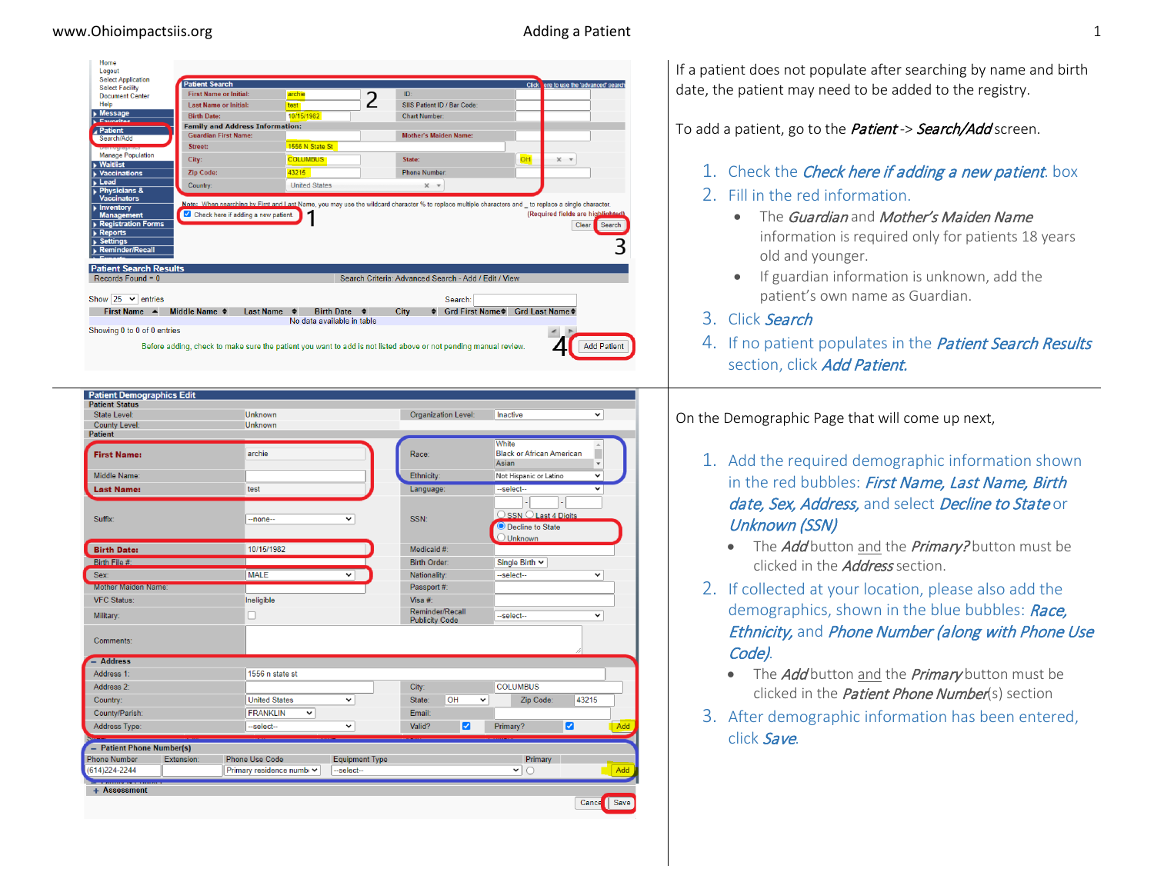| Home<br>Logout                                                                                                |                                              |                                  |                                                                                                                 |                                                      |
|---------------------------------------------------------------------------------------------------------------|----------------------------------------------|----------------------------------|-----------------------------------------------------------------------------------------------------------------|------------------------------------------------------|
| <b>Select Application</b>                                                                                     | <b>Patient Search</b>                        |                                  |                                                                                                                 | ere to use the 'advanced' search<br><b>Click</b>     |
| <b>Select Facility</b><br>Document Center                                                                     | <b>First Name or Initial:</b>                | archie                           | ID <sub>1</sub>                                                                                                 |                                                      |
| Help                                                                                                          | Last Name or Initial:                        | test                             | 2<br>SIIS Patient ID / Bar Code:                                                                                |                                                      |
| $\blacktriangleright$ Message                                                                                 | <b>Birth Date:</b>                           | 10/15/1982                       | <b>Chart Number:</b>                                                                                            |                                                      |
| Envertise<br>Patient                                                                                          | <b>Family and Address Information:</b>       |                                  |                                                                                                                 |                                                      |
| Search/Add                                                                                                    | <b>Guardian First Name:</b>                  |                                  | <b>Mother's Maiden Name:</b>                                                                                    |                                                      |
| Demographics                                                                                                  | Street:                                      | 1556 N State St                  |                                                                                                                 |                                                      |
| <b>Manage Population</b><br><b>Waitlist</b>                                                                   | City:                                        | <b>COLUMBUS</b>                  | State:                                                                                                          | OH<br>$\times$ $\times$                              |
| <b>Vaccinations</b>                                                                                           | <b>Zip Code:</b>                             | 43215                            | <b>Phone Number:</b>                                                                                            |                                                      |
| $L$ ead                                                                                                       | Country:                                     | <b>United States</b>             | $\times$ $\times$                                                                                               |                                                      |
| <b>Physicians &amp;</b><br><b>Vaccinators</b>                                                                 |                                              |                                  |                                                                                                                 |                                                      |
| <b>Management</b><br><b>Registration Forms</b><br><b>Reports</b><br><b>Settings</b><br><b>Reminder/Recall</b> | Check here if adding a new patient.          |                                  |                                                                                                                 | (Required fields are highlighted)<br>Clear<br>Search |
| <b>Patient Search Results</b><br>Records Found = $0$                                                          |                                              |                                  | Search Criteria: Advanced Search - Add / Edit / View                                                            |                                                      |
|                                                                                                               |                                              |                                  |                                                                                                                 |                                                      |
| Show 25 $\vee$ entries                                                                                        |                                              |                                  | Search:                                                                                                         |                                                      |
| First Name ▲                                                                                                  | Middle Name $\triangleq$<br><b>Last Name</b> | <b>Birth Date ●</b><br>$\bullet$ | Grd First Name♦<br>City                                                                                         | Grd Last Name $\bullet$                              |
|                                                                                                               |                                              | No data available in table       |                                                                                                                 |                                                      |
| Showing 0 to 0 of 0 entries                                                                                   |                                              |                                  |                                                                                                                 |                                                      |
|                                                                                                               |                                              |                                  | Before adding, check to make sure the patient you want to add is not listed above or not pending manual review. | <b>Add Patient</b>                                   |

| <b>County Level:</b><br><b>Patient</b> |            |                                |                       |                                          |                    | White                                                 | $\Delta$                       |     |
|----------------------------------------|------------|--------------------------------|-----------------------|------------------------------------------|--------------------|-------------------------------------------------------|--------------------------------|-----|
| <b>First Name:</b>                     |            | archie                         |                       | Race:                                    |                    | <b>Black or African American</b><br>Asian             | Ė<br>$\boldsymbol{\mathrm{v}}$ |     |
| Middle Name:                           |            |                                |                       | Ethnicity:                               |                    | Not Hispanic or Latino                                | $\checkmark$                   |     |
| <b>Last Name:</b>                      |            | test                           |                       | Language:                                |                    | --select--                                            | $\checkmark$                   |     |
| Suffix:                                |            | $-$ none $-$                   | $\checkmark$          | SSN:                                     |                    | OSSN O Last 4 Digits<br><sup>O</sup> Decline to State |                                |     |
|                                        |            |                                |                       |                                          |                    | $\bigcirc$ Unknown                                    |                                |     |
| <b>Birth Date:</b>                     |            | 10/15/1982                     |                       | Medicaid #:                              |                    |                                                       |                                |     |
| Birth File #:                          |            |                                |                       | Birth Order:                             |                    | Single Birth $\sim$                                   |                                |     |
| Sex:                                   |            | <b>MALE</b>                    | ◡                     | Nationality:                             |                    | --select--                                            | ╰                              |     |
| <b>Mother Maiden Name:</b>             |            |                                |                       | Passport #:                              |                    |                                                       |                                |     |
| <b>VFC Status:</b>                     |            | Ineligible                     |                       | Visa #:                                  |                    |                                                       |                                |     |
| Military:                              |            |                                |                       | Reminder/Recall<br><b>Publicity Code</b> |                    | --select--                                            | $\checkmark$                   |     |
| Comments:                              |            |                                |                       |                                          |                    |                                                       |                                |     |
| - Address                              |            |                                |                       |                                          |                    |                                                       |                                |     |
| Address 1:                             |            | 1556 n state st                |                       |                                          |                    |                                                       |                                |     |
| Address <sub>2</sub> :                 |            |                                |                       | City:                                    |                    | <b>COLUMBUS</b>                                       |                                |     |
| Country:                               |            | <b>United States</b>           | v                     | State:                                   | OH<br>$\checkmark$ | Zip Code:                                             | 43215                          |     |
| County/Parish:                         |            | <b>FRANKLIN</b><br>$\check{ }$ |                       | Email:                                   |                    |                                                       |                                |     |
| Address Type:                          |            | --select--                     | v                     | Valid?                                   | M                  | Primary?                                              | ø                              | Add |
| - Patient Phone Number(s)              |            |                                |                       |                                          |                    |                                                       |                                |     |
| <b>Phone Number</b>                    | Extension: | Phone Use Code                 | <b>Equipment Type</b> |                                          |                    | Primary<br>$\checkmark$                               |                                | Add |

If a patient does not populate after searching by name and birth date, the patient may need to be added to the registry.

To add a patient, go to the *Patient -> Search/Add* screen.

1. Check the *Check here if adding a new patient*. box

## 2. Fill in the red information.

- The Guardian and Mother's Maiden Name information is required only for patients 18 years old and younger.
- If guardian information is unknown, add the patient's own name as Guardian.
- 3. Click Search
- 4. If no patient populates in the *Patient Search Results* section, click Add Patient.

On the Demographic Page that will come up next,

- 1. Add the required demographic information shown in the red bubbles: First Name, Last Name, Birth date, Sex, Address, and select Decline to State or Unknown (SSN)
	- The *Add* button and the *Primary?* button must be clicked in the *Address* section.
- 2. If collected at your location, please also add the demographics, shown in the blue bubbles: Race, **Ethnicity, and Phone Number (along with Phone Use** Code).
	- The *Add* button and the *Primary* button must be clicked in the *Patient Phone Number*(s) section
- 3. After demographic information has been entered, click Save.